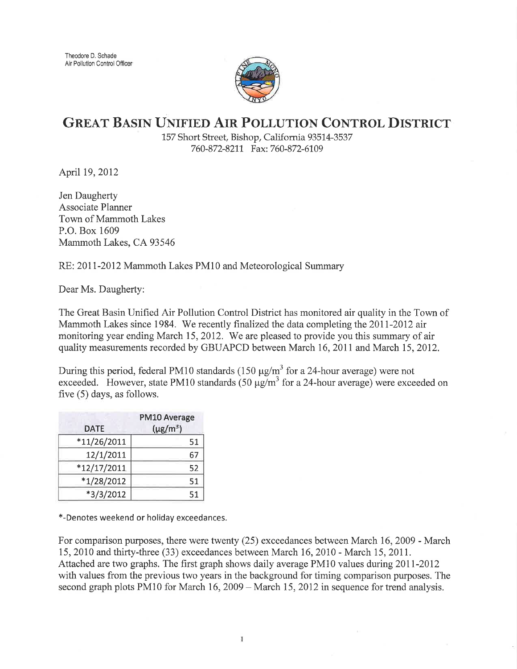

## GREAT BASIN UNIFIED AIR POLLUTION CONTROL DISTRICT

157 Short Street, Bishop, California 93514-3537 760-872-8211 Fax: 760-872-6109

April 19, 2012

Jen Daugherty Associate Planner Town of Mammoth Lakes P.O. Box 1609 Mammoth Lakes, CA 93546

RE: 2011-2012 Mammoth Lakes PMl0 and Meteorological Summary

Dear Ms. Daugherty:

The Great Basin Unified Air Pollution Control District has monitored air quality in the Town of Mammoth Lakes since 1984. We recently finalized the data completing the 2011-2012 air monitoring year ending March 15, 2012. We are pleased to provide you this summary of air quality measurements recorded by GBUAPCD between March 16,2011 and March 15,2012.

During this period, federal PM10 standards (150  $\mu$ g/m<sup>3</sup> for a 24-hour average) were not exceeded. However, state PM10 standards (50  $\mu$ g/m<sup>3</sup> for a 24-hour average) were exceeded on five (5) days, as follows.

| <b>DATE</b>   | PM10 Average<br>$(\mu g/m^3)$ |
|---------------|-------------------------------|
| $*11/26/2011$ | 51                            |
| 12/1/2011     | 67                            |
| $*12/17/2011$ | 52                            |
| $*1/28/2012$  | 51                            |
| $*3/3/2012$   | 51                            |

\*-Denotes weekend or holiday exceedances.

For comparison purposes, there were twenty (25) exceedances between March 16,2009 - March 15, 2010 and thirty-three (33) exceedances between March 16, 2010 - March 15, 2011. Attached are two graphs. The first graph shows daily average PM10 values during 20lI-20I2 with values from the previous two years in the background for timing comparison purposes. The second graph plots PM10 for March 16, 2009 - March 15, 2012 in sequence for trend analysis.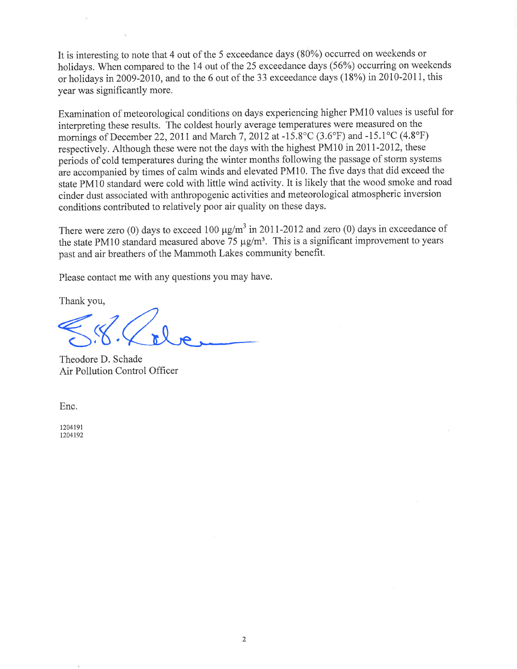It is interesting to note that 4 out of the 5 exceedance days (80%) occurred on weekends or holidays. When compared to the 14 out of the 25 exceedance days (56%) occurring on weekends or holidays in2009-2010, and to the 6 out of the 33 exceedance days (18%) in2010-2011, this year was significantly more.

Examination of meteorological conditions on days experiencing higher PMl0 values is useful for interpreting these results. The coldest hourly average temperatures were measured on the mornings of December 22, 2011 and March 7, 2012 at -15.8°C (3.6°F) and -15.1°C (4.8°F) respectively. Although these were not the days with the highest PM10 in 2011-2012, these periods of cold temperatures during the winter months following the passage of storm systems are accompanied by times of calm winds and elevated PMl0. The five days that did exceed the state PMl0 standard were cold with little wind activity. It is likely that the wood smoke and road cinder dust associated with anthropogenic activities and meteorological atmospheric inversion conditions contributed to relatively poor air quality on these days.

There were zero (0) days to exceed 100  $\mu$ g/m<sup>3</sup> in 2011-2012 and zero (0) days in exceedance of the state PM10 standard measured above 75  $\mu$ g/m<sup>3</sup>. This is a significant improvement to years past and air breathers of the Mammoth Lakes community benefit.

Please contact me with any questions you may have.

Thank you,

Theodore D. Schade Air Pollution Control Ofhcer

Enc.

t204191 1204192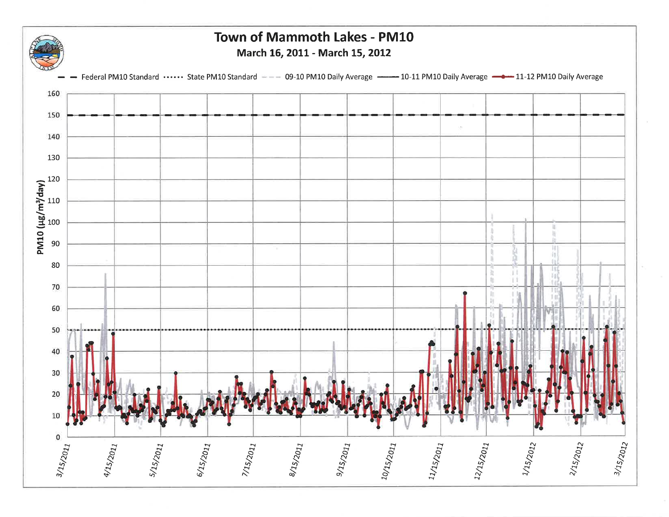